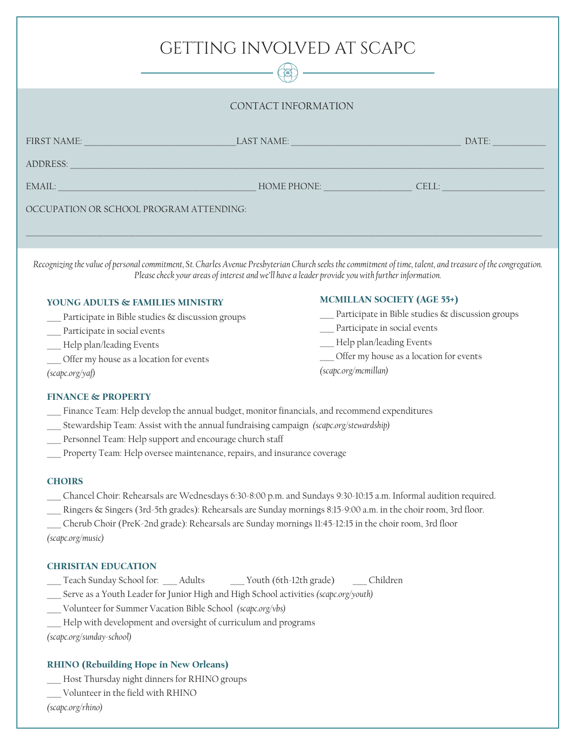| GETTING INVOLVED AT SCAPC<br>诞          |                                                                                                                                                                                                                                                                                                                                                                                                            |       |
|-----------------------------------------|------------------------------------------------------------------------------------------------------------------------------------------------------------------------------------------------------------------------------------------------------------------------------------------------------------------------------------------------------------------------------------------------------------|-------|
| CONTACT INFORMATION                     |                                                                                                                                                                                                                                                                                                                                                                                                            |       |
| <b>FIRST NAME:</b><br>ADDRESS:          | <b>LAST NAME:</b> The contract of the contract of the contract of the contract of the contract of the contract of the contract of the contract of the contract of the contract of the contract of the contract of the contract of t<br><u> 1990 - Johann Barnett, fransk politik (</u><br>and the control of the control of the control of the control of the control of the control of the control of the | DATE: |
| EMAIL:                                  | HOME PHONE: The contract of the contract of the contract of the contract of the contract of the contract of the contract of the contract of the contract of the contract of the contract of the contract of the contract of th                                                                                                                                                                             | CELL: |
| OCCUPATION OR SCHOOL PROGRAM ATTENDING: |                                                                                                                                                                                                                                                                                                                                                                                                            |       |

*Recognizing the value of personal commitment, St. Charles Avenue Presbyterian Church seeks the commitment of time, talent, and treasure of the congregation. Please check your areas of interest and we'll have a leader provide you with further information.*

MCMILLAN SOCIETY (AGE 55+)

Participate in social events Help plan/leading Events

*(scapc.org/mcmillan)*

Participate in Bible studies & discussion groups

Offer my house as a location for events

## YOUNG ADULTS & FAMILIES MINISTRY

- Participate in Bible studies & discussion groups
- Participate in social events
- Help plan/leading Events
- Offer my house as a location for events

### *(scapc.org/yaf)*

### FINANCE & PROPERTY

- Finance Team: Help develop the annual budget, monitor financials, and recommend expenditures
- \_\_\_\_ Stewardship Team: Assist with the annual fundraising campaign *(scapc.org/stewardship)*
- Personnel Team: Help support and encourage church staff
- Property Team: Help oversee maintenance, repairs, and insurance coverage

#### **CHOIRS**

- \_\_\_\_ Chancel Choir: Rehearsals are Wednesdays 6:30-8:00 p.m. and Sundays 9:30-10:15 a.m. Informal audition required.
- Ringers & Singers (3rd-5th grades): Rehearsals are Sunday mornings 8:15-9:00 a.m. in the choir room, 3rd floor.
- \_\_\_\_ Cherub Choir (PreK-2nd grade): Rehearsals are Sunday mornings 11:45-12:15 in the choir room, 3rd floor

*(scapc.org/music)*

### CHRISITAN EDUCATION

- Teach Sunday School for: \_\_\_\_ Adults \_\_\_\_\_\_ Youth (6th-12th grade) \_\_\_\_\_ Children
- \_\_\_\_ Serve as a Youth Leader for Junior High and High School activities *(scapc.org/youth)*
- \_\_\_\_ Volunteer for Summer Vacation Bible School *(scapc.org/vbs)*
- Help with development and oversight of curriculum and programs

*(scapc.org/sunday-school)*

# RHINO (Rebuilding Hope in New Orleans)

- Host Thursday night dinners for RHINO groups
- Volunteer in the field with RHINO

*(scapc.org/rhino)*